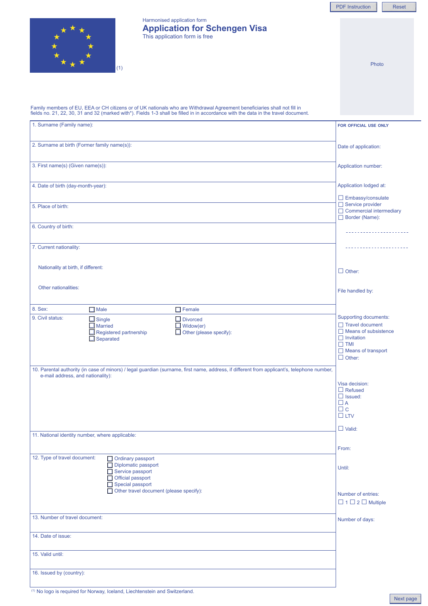**Close** 

Reset



## Harmonised application form **Application for Schengen Visa** This application form is free

Instruction

- •Please use lowercase letters. Use the Tab key to move from one field to the next.
- •The information you enter must be displayed entirely within<br>the text field
- the text field.<br>●When the form is filled in and ready to print, click the "Print" button.<br>●Remember to sign the form.<br>●You can empty all fields by clicking the "Reset" button.
- 
- Fromember to eight all fields by clicking the "Reset" button.

Family members of EU, EEA or CH citizens or of UK nationals who are Withdrawal Agreement beneficiaries shall not fill in<br>fields no. 21, 22, 30, 31 and 32 (marked with\*). Fields 1-3 shall be filled in in accordance with the

| 1. Surname (Family name):                                                                                                                                                        | FOR OFFICIAL USE ONLY                          |
|----------------------------------------------------------------------------------------------------------------------------------------------------------------------------------|------------------------------------------------|
|                                                                                                                                                                                  |                                                |
| 2. Surname at birth (Former family name(s)):                                                                                                                                     | Date of application:                           |
|                                                                                                                                                                                  |                                                |
| 3. First name(s) (Given name(s)):                                                                                                                                                | Application number:                            |
|                                                                                                                                                                                  |                                                |
| 4. Date of birth (day-month-year):                                                                                                                                               | Application lodged at:                         |
|                                                                                                                                                                                  | $\Box$ Embassy/consulate                       |
| 5. Place of birth:                                                                                                                                                               | Service provider<br>□ Commercial intermediary  |
|                                                                                                                                                                                  | Border (Name):                                 |
| 6. Country of birth:                                                                                                                                                             |                                                |
|                                                                                                                                                                                  |                                                |
| 7. Current nationality:                                                                                                                                                          | <u>.</u>                                       |
|                                                                                                                                                                                  |                                                |
| Nationality at birth, if different:                                                                                                                                              | $\Box$ Other:                                  |
|                                                                                                                                                                                  |                                                |
| Other nationalities:                                                                                                                                                             | File handled by:                               |
|                                                                                                                                                                                  |                                                |
| 8. Sex:<br>$\Box$ Female<br>$\Box$ Male                                                                                                                                          |                                                |
| 9. Civil status:<br>$\Box$ Single<br>$\Box$ Divorced                                                                                                                             | <b>Supporting documents:</b>                   |
| $\Box$ Married<br>$\Box$ Widow(er)                                                                                                                                               | Travel document<br>$\Box$ Means of subsistence |
| Registered partnership<br>$\Box$ Other (please specify):<br>$\Box$ Separated                                                                                                     | $\Box$ Invitation                              |
|                                                                                                                                                                                  | $\Box$ TMI                                     |
|                                                                                                                                                                                  | □ Means of transport<br>$\Box$ Other:          |
|                                                                                                                                                                                  |                                                |
| 10. Parental authority (in case of minors) / legal guardian (surname, first name, address, if different from applicant's, telephone number,<br>e-mail address, and nationality): |                                                |
|                                                                                                                                                                                  | Visa decision:                                 |
|                                                                                                                                                                                  | $\Box$ Refused<br>$\Box$ Issued:               |
|                                                                                                                                                                                  | $\Box$ A                                       |
|                                                                                                                                                                                  | $\Box$ $\circ$                                 |
|                                                                                                                                                                                  | $\Box$ LTV                                     |
|                                                                                                                                                                                  | $\Box$ Valid:                                  |
| 11. National identity number, where applicable:                                                                                                                                  |                                                |
|                                                                                                                                                                                  | From:                                          |
| 12. Type of travel document:<br>Ordinary passport                                                                                                                                |                                                |
| Diplomatic passport<br>Service passport                                                                                                                                          | Until:                                         |
| Official passport                                                                                                                                                                |                                                |
| Special passport                                                                                                                                                                 |                                                |
| Other travel document (please specify):                                                                                                                                          | Number of entries:                             |
|                                                                                                                                                                                  | $\Box$ 1 $\Box$ 2 $\Box$ Multiple              |
| 13. Number of travel document:                                                                                                                                                   |                                                |
|                                                                                                                                                                                  | Number of days:                                |
| 14. Date of issue:                                                                                                                                                               |                                                |
|                                                                                                                                                                                  |                                                |
| 15. Valid until:                                                                                                                                                                 |                                                |
|                                                                                                                                                                                  |                                                |
| 16. Issued by (country):                                                                                                                                                         |                                                |
|                                                                                                                                                                                  |                                                |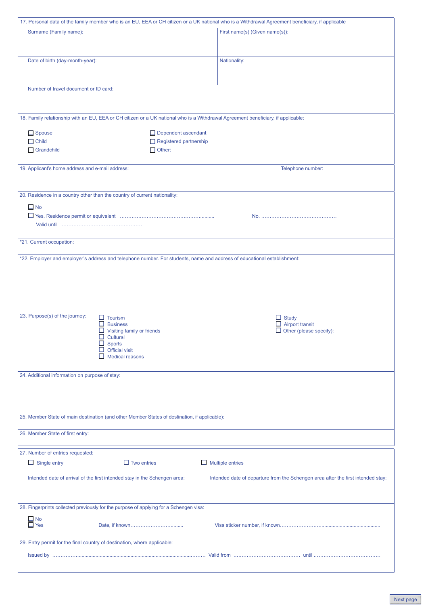| 17. Personal data of the family member who is an EU, EEA or CH citizen or a UK national who is a Withdrawal Agreement beneficiary, if applicable |                                                                                  |  |
|--------------------------------------------------------------------------------------------------------------------------------------------------|----------------------------------------------------------------------------------|--|
| Surname (Family name):                                                                                                                           | First name(s) (Given name(s)):                                                   |  |
|                                                                                                                                                  |                                                                                  |  |
|                                                                                                                                                  |                                                                                  |  |
| Date of birth (day-month-year):                                                                                                                  | Nationality:                                                                     |  |
|                                                                                                                                                  |                                                                                  |  |
|                                                                                                                                                  |                                                                                  |  |
| Number of travel document or ID card:                                                                                                            |                                                                                  |  |
|                                                                                                                                                  |                                                                                  |  |
|                                                                                                                                                  |                                                                                  |  |
| 18. Family relationship with an EU, EEA or CH citizen or a UK national who is a Withdrawal Agreement beneficiary, if applicable:                 |                                                                                  |  |
|                                                                                                                                                  |                                                                                  |  |
| Spouse<br>Dependent ascendant                                                                                                                    |                                                                                  |  |
| $\Box$ Child<br>Registered partnership                                                                                                           |                                                                                  |  |
| $\Box$ Grandchild<br>$\Box$ Other:                                                                                                               |                                                                                  |  |
|                                                                                                                                                  |                                                                                  |  |
| 19. Applicant's home address and e-mail address:                                                                                                 | Telephone number:                                                                |  |
|                                                                                                                                                  |                                                                                  |  |
| 20. Residence in a country other than the country of current nationality:                                                                        |                                                                                  |  |
|                                                                                                                                                  |                                                                                  |  |
| $\Box$ No                                                                                                                                        |                                                                                  |  |
|                                                                                                                                                  |                                                                                  |  |
|                                                                                                                                                  |                                                                                  |  |
|                                                                                                                                                  |                                                                                  |  |
| *21. Current occupation:                                                                                                                         |                                                                                  |  |
| *22. Employer and employer's address and telephone number. For students, name and address of educational establishment:                          |                                                                                  |  |
|                                                                                                                                                  |                                                                                  |  |
|                                                                                                                                                  |                                                                                  |  |
|                                                                                                                                                  |                                                                                  |  |
|                                                                                                                                                  |                                                                                  |  |
|                                                                                                                                                  |                                                                                  |  |
|                                                                                                                                                  |                                                                                  |  |
| 23. Purpose(s) of the journey:<br>$\Box$ Tourism                                                                                                 | $\Box$ Study                                                                     |  |
| <b>Business</b><br>□<br>Visiting family or friends                                                                                               | $\Box$ Airport transit<br>$\Box$ Other (please specify):                         |  |
| $\Box$ Cultural                                                                                                                                  |                                                                                  |  |
| <b>Sports</b>                                                                                                                                    |                                                                                  |  |
| <b>Official visit</b><br><b>Medical reasons</b>                                                                                                  |                                                                                  |  |
|                                                                                                                                                  |                                                                                  |  |
| 24. Additional information on purpose of stay:                                                                                                   |                                                                                  |  |
|                                                                                                                                                  |                                                                                  |  |
|                                                                                                                                                  |                                                                                  |  |
|                                                                                                                                                  |                                                                                  |  |
|                                                                                                                                                  |                                                                                  |  |
| 25. Member State of main destination (and other Member States of destination, if applicable):                                                    |                                                                                  |  |
|                                                                                                                                                  |                                                                                  |  |
| 26. Member State of first entry:                                                                                                                 |                                                                                  |  |
|                                                                                                                                                  |                                                                                  |  |
| 27. Number of entries requested:                                                                                                                 |                                                                                  |  |
| $\Box$ Two entries<br>$\Box$ Single entry                                                                                                        | $\Box$ Multiple entries                                                          |  |
| Intended date of arrival of the first intended stay in the Schengen area:                                                                        | Intended date of departure from the Schengen area after the first intended stay: |  |
|                                                                                                                                                  |                                                                                  |  |
|                                                                                                                                                  |                                                                                  |  |
|                                                                                                                                                  |                                                                                  |  |
| 28. Fingerprints collected previously for the purpose of applying for a Schengen visa:                                                           |                                                                                  |  |
| $\frac{\square}{\square}$ No<br>$\frac{\square}{\square}$ Yes                                                                                    |                                                                                  |  |
|                                                                                                                                                  |                                                                                  |  |
| 29. Entry permit for the final country of destination, where applicable:                                                                         |                                                                                  |  |
|                                                                                                                                                  |                                                                                  |  |
|                                                                                                                                                  |                                                                                  |  |
|                                                                                                                                                  |                                                                                  |  |